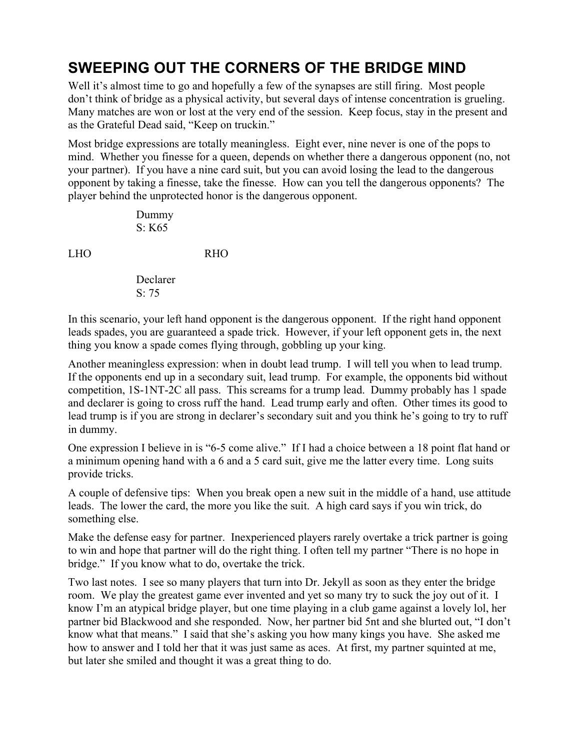## **SWEEPING OUT THE CORNERS OF THE BRIDGE MIND**

Well it's almost time to go and hopefully a few of the synapses are still firing. Most people don't think of bridge as a physical activity, but several days of intense concentration is grueling. Many matches are won or lost at the very end of the session. Keep focus, stay in the present and as the Grateful Dead said, "Keep on truckin."

Most bridge expressions are totally meaningless. Eight ever, nine never is one of the pops to mind. Whether you finesse for a queen, depends on whether there a dangerous opponent (no, not your partner). If you have a nine card suit, but you can avoid losing the lead to the dangerous opponent by taking a finesse, take the finesse. How can you tell the dangerous opponents? The player behind the unprotected honor is the dangerous opponent.

> Dummy S: K65

LHO RHO

Declarer  $S: 75$ 

In this scenario, your left hand opponent is the dangerous opponent. If the right hand opponent leads spades, you are guaranteed a spade trick. However, if your left opponent gets in, the next thing you know a spade comes flying through, gobbling up your king.

Another meaningless expression: when in doubt lead trump. I will tell you when to lead trump. If the opponents end up in a secondary suit, lead trump. For example, the opponents bid without competition, 1S-1NT-2C all pass. This screams for a trump lead. Dummy probably has 1 spade and declarer is going to cross ruff the hand. Lead trump early and often. Other times its good to lead trump is if you are strong in declarer's secondary suit and you think he's going to try to ruff in dummy.

One expression I believe in is "6-5 come alive." If I had a choice between a 18 point flat hand or a minimum opening hand with a 6 and a 5 card suit, give me the latter every time. Long suits provide tricks.

A couple of defensive tips: When you break open a new suit in the middle of a hand, use attitude leads. The lower the card, the more you like the suit. A high card says if you win trick, do something else.

Make the defense easy for partner. Inexperienced players rarely overtake a trick partner is going to win and hope that partner will do the right thing. I often tell my partner "There is no hope in bridge." If you know what to do, overtake the trick.

Two last notes. I see so many players that turn into Dr. Jekyll as soon as they enter the bridge room. We play the greatest game ever invented and yet so many try to suck the joy out of it. I know I'm an atypical bridge player, but one time playing in a club game against a lovely lol, her partner bid Blackwood and she responded. Now, her partner bid 5nt and she blurted out, "I don't know what that means." I said that she's asking you how many kings you have. She asked me how to answer and I told her that it was just same as aces. At first, my partner squinted at me, but later she smiled and thought it was a great thing to do.